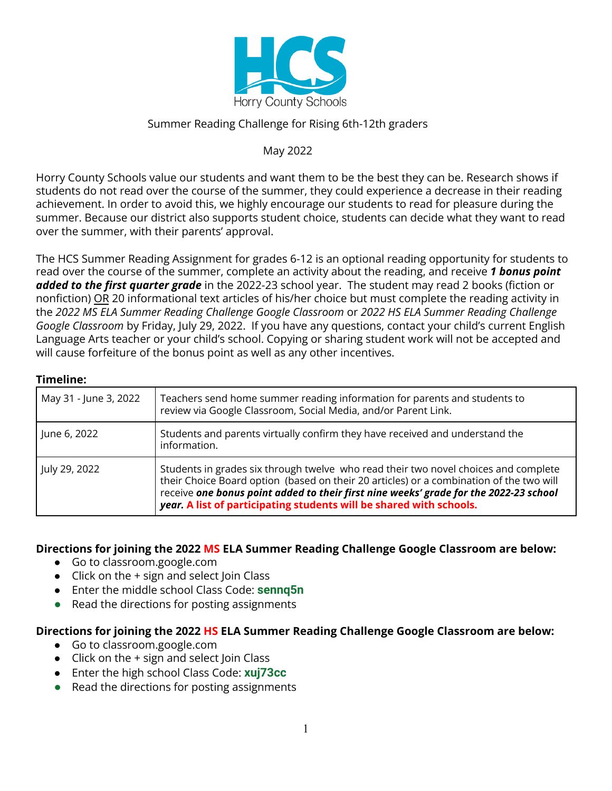

### Summer Reading Challenge for Rising 6th-12th graders

## May 2022

Horry County Schools value our students and want them to be the best they can be. Research shows if students do not read over the course of the summer, they could experience a decrease in their reading achievement. In order to avoid this, we highly encourage our students to read for pleasure during the summer. Because our district also supports student choice, students can decide what they want to read over the summer, with their parents' approval.

The HCS Summer Reading Assignment for grades 6-12 is an optional reading opportunity for students to read over the course of the summer, complete an activity about the reading, and receive *1 bonus point added to the first quarter grade* in the 2022-23 school year. The student may read 2 books (fiction or nonfiction) OR 20 informational text articles of his/her choice but must complete the reading activity in the *2022 MS ELA Summer Reading Challenge Google Classroom* or *2022 HS ELA Summer Reading Challenge Google Classroom* by Friday, July 29, 2022. If you have any questions, contact your child's current English Language Arts teacher or your child's school. Copying or sharing student work will not be accepted and will cause forfeiture of the bonus point as well as any other incentives.

#### **Timeline:**

| May 31 - June 3, 2022 | Teachers send home summer reading information for parents and students to<br>review via Google Classroom, Social Media, and/or Parent Link.                                                                                                                                                                                                    |
|-----------------------|------------------------------------------------------------------------------------------------------------------------------------------------------------------------------------------------------------------------------------------------------------------------------------------------------------------------------------------------|
| June 6, 2022          | Students and parents virtually confirm they have received and understand the<br>information.                                                                                                                                                                                                                                                   |
| July 29, 2022         | Students in grades six through twelve who read their two novel choices and complete<br>their Choice Board option (based on their 20 articles) or a combination of the two will<br>receive one bonus point added to their first nine weeks' grade for the 2022-23 school<br>year. A list of participating students will be shared with schools. |

**Directions for joining the 2022 MS ELA Summer Reading Challenge Google Classroom are below:**

- Go to classroom.google.com
- $\bullet$  Click on the  $+$  sign and select Join Class
- Enter the middle school Class Code: **sennq5n**
- **●** Read the directions for posting assignments

#### **Directions for joining the 2022 HS ELA Summer Reading Challenge Google Classroom are below:**

- Go to classroom.google.com
- $\bullet$  Click on the  $+$  sign and select Join Class
- Enter the high school Class Code: **xuj73cc**
- **●** Read the directions for posting assignments